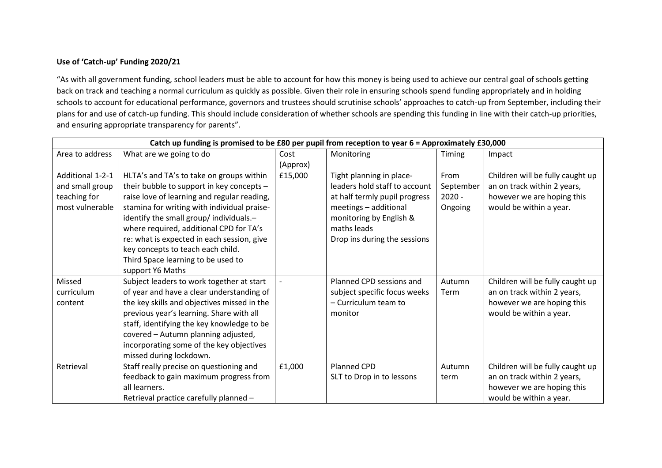## **Use of 'Catch-up' Funding 2020/21**

"As with all government funding, school leaders must be able to account for how this money is being used to achieve our central goal of schools getting back on track and teaching a normal curriculum as quickly as possible. Given their role in ensuring schools spend funding appropriately and in holding schools to account for educational performance, governors and trustees should scrutinise schools' approaches to catch-up from September, including their plans for and use of catch-up funding. This should include consideration of whether schools are spending this funding in line with their catch-up priorities, and ensuring appropriate transparency for parents".

| Catch up funding is promised to be £80 per pupil from reception to year $6 =$ Approximately £30,000 |                                             |          |                               |           |                                  |  |
|-----------------------------------------------------------------------------------------------------|---------------------------------------------|----------|-------------------------------|-----------|----------------------------------|--|
| Area to address                                                                                     | What are we going to do                     | Cost     | Monitoring                    | Timing    | Impact                           |  |
|                                                                                                     |                                             | (Approx) |                               |           |                                  |  |
| Additional 1-2-1                                                                                    | HLTA's and TA's to take on groups within    | £15,000  | Tight planning in place-      | From      | Children will be fully caught up |  |
| and small group                                                                                     | their bubble to support in key concepts -   |          | leaders hold staff to account | September | an on track within 2 years,      |  |
| teaching for                                                                                        | raise love of learning and regular reading, |          | at half termly pupil progress | $2020 -$  | however we are hoping this       |  |
| most vulnerable                                                                                     | stamina for writing with individual praise- |          | meetings - additional         | Ongoing   | would be within a year.          |  |
|                                                                                                     | identify the small group/ individuals.-     |          | monitoring by English &       |           |                                  |  |
|                                                                                                     | where required, additional CPD for TA's     |          | maths leads                   |           |                                  |  |
|                                                                                                     | re: what is expected in each session, give  |          | Drop ins during the sessions  |           |                                  |  |
|                                                                                                     | key concepts to teach each child.           |          |                               |           |                                  |  |
|                                                                                                     | Third Space learning to be used to          |          |                               |           |                                  |  |
|                                                                                                     | support Y6 Maths                            |          |                               |           |                                  |  |
| Missed                                                                                              | Subject leaders to work together at start   |          | Planned CPD sessions and      | Autumn    | Children will be fully caught up |  |
| curriculum                                                                                          | of year and have a clear understanding of   |          | subject specific focus weeks  | Term      | an on track within 2 years,      |  |
| content                                                                                             | the key skills and objectives missed in the |          | - Curriculum team to          |           | however we are hoping this       |  |
|                                                                                                     | previous year's learning. Share with all    |          | monitor                       |           | would be within a year.          |  |
|                                                                                                     | staff, identifying the key knowledge to be  |          |                               |           |                                  |  |
|                                                                                                     | covered - Autumn planning adjusted,         |          |                               |           |                                  |  |
|                                                                                                     | incorporating some of the key objectives    |          |                               |           |                                  |  |
|                                                                                                     | missed during lockdown.                     |          |                               |           |                                  |  |
| Retrieval                                                                                           | Staff really precise on questioning and     | £1,000   | Planned CPD                   | Autumn    | Children will be fully caught up |  |
|                                                                                                     | feedback to gain maximum progress from      |          | SLT to Drop in to lessons     | term      | an on track within 2 years,      |  |
|                                                                                                     | all learners.                               |          |                               |           | however we are hoping this       |  |
|                                                                                                     | Retrieval practice carefully planned -      |          |                               |           | would be within a year.          |  |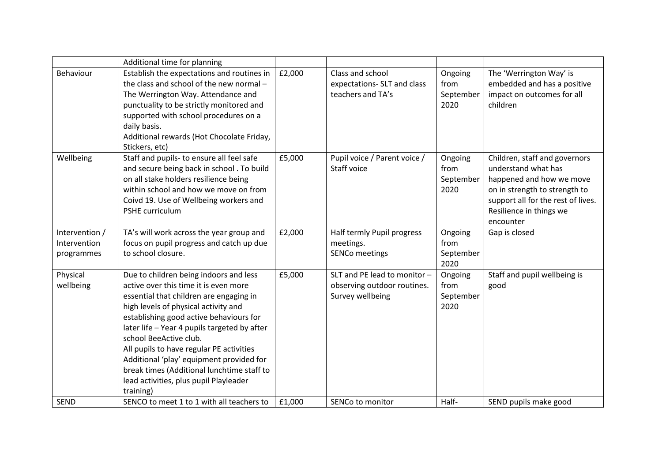|                                              | Additional time for planning                                                                                                                                                                                                                                                                                                                                                                                                                                                         |        |                                                                                 |                                      |                                                                                                                                                                                                 |
|----------------------------------------------|--------------------------------------------------------------------------------------------------------------------------------------------------------------------------------------------------------------------------------------------------------------------------------------------------------------------------------------------------------------------------------------------------------------------------------------------------------------------------------------|--------|---------------------------------------------------------------------------------|--------------------------------------|-------------------------------------------------------------------------------------------------------------------------------------------------------------------------------------------------|
| Behaviour                                    | Establish the expectations and routines in<br>the class and school of the new normal -<br>The Werrington Way. Attendance and<br>punctuality to be strictly monitored and<br>supported with school procedures on a<br>daily basis.<br>Additional rewards (Hot Chocolate Friday,<br>Stickers, etc)                                                                                                                                                                                     | £2,000 | Class and school<br>expectations- SLT and class<br>teachers and TA's            | Ongoing<br>from<br>September<br>2020 | The 'Werrington Way' is<br>embedded and has a positive<br>impact on outcomes for all<br>children                                                                                                |
| Wellbeing                                    | Staff and pupils- to ensure all feel safe<br>and secure being back in school . To build<br>on all stake holders resilience being<br>within school and how we move on from<br>Coivd 19. Use of Wellbeing workers and<br>PSHE curriculum                                                                                                                                                                                                                                               | £5,000 | Pupil voice / Parent voice /<br>Staff voice                                     | Ongoing<br>from<br>September<br>2020 | Children, staff and governors<br>understand what has<br>happened and how we move<br>on in strength to strength to<br>support all for the rest of lives.<br>Resilience in things we<br>encounter |
| Intervention /<br>Intervention<br>programmes | TA's will work across the year group and<br>focus on pupil progress and catch up due<br>to school closure.                                                                                                                                                                                                                                                                                                                                                                           | £2,000 | Half termly Pupil progress<br>meetings.<br><b>SENCo meetings</b>                | Ongoing<br>from<br>September<br>2020 | Gap is closed                                                                                                                                                                                   |
| Physical<br>wellbeing                        | Due to children being indoors and less<br>active over this time it is even more<br>essential that children are engaging in<br>high levels of physical activity and<br>establishing good active behaviours for<br>later life - Year 4 pupils targeted by after<br>school BeeActive club.<br>All pupils to have regular PE activities<br>Additional 'play' equipment provided for<br>break times (Additional lunchtime staff to<br>lead activities, plus pupil Playleader<br>training) | £5,000 | SLT and PE lead to monitor -<br>observing outdoor routines.<br>Survey wellbeing | Ongoing<br>from<br>September<br>2020 | Staff and pupil wellbeing is<br>good                                                                                                                                                            |
| <b>SEND</b>                                  | SENCO to meet 1 to 1 with all teachers to                                                                                                                                                                                                                                                                                                                                                                                                                                            | £1,000 | SENCo to monitor                                                                | Half-                                | SEND pupils make good                                                                                                                                                                           |